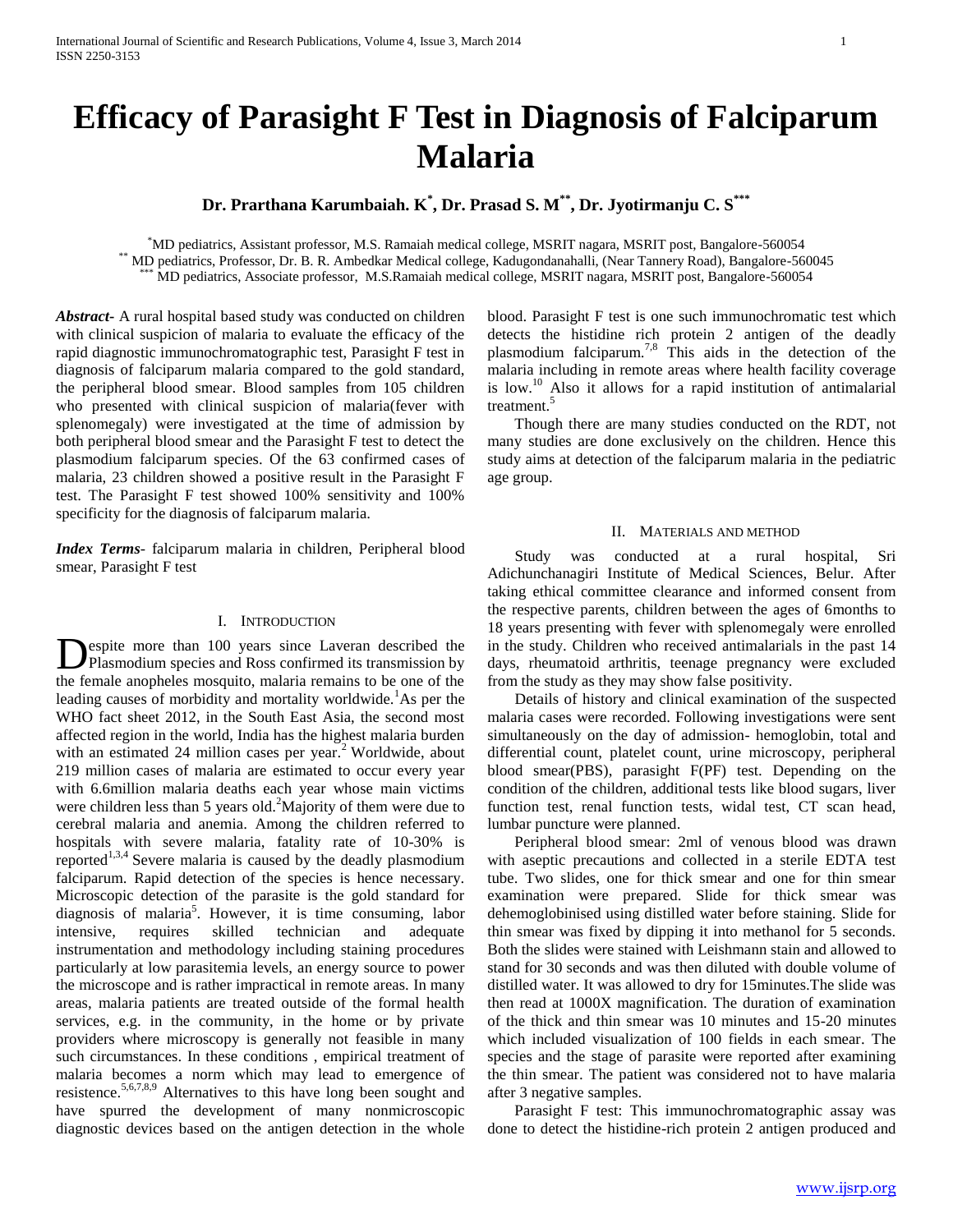# **Efficacy of Parasight F Test in Diagnosis of Falciparum Malaria**

**Dr. Prarthana Karumbaiah. K\* , Dr. Prasad S. M\*\*, Dr. Jyotirmanju C. S\*\*\***

\*MD pediatrics, Assistant professor, M.S. Ramaiah medical college, MSRIT nagara, MSRIT post, Bangalore-560054 \*\* MD pediatrics, Professor, Dr. B. R. Ambedkar Medical college, Kadugondanahalli, (Near Tannery Road), Bangalore-560045 \*\*\* MD pediatrics, Associate professor, M.S.Ramaiah medical college, MSRIT nagara, MSRIT post, Bangalore-560054

*Abstract***-** A rural hospital based study was conducted on children with clinical suspicion of malaria to evaluate the efficacy of the rapid diagnostic immunochromatographic test, Parasight F test in diagnosis of falciparum malaria compared to the gold standard, the peripheral blood smear. Blood samples from 105 children who presented with clinical suspicion of malaria(fever with splenomegaly) were investigated at the time of admission by both peripheral blood smear and the Parasight F test to detect the plasmodium falciparum species. Of the 63 confirmed cases of malaria, 23 children showed a positive result in the Parasight F test. The Parasight F test showed 100% sensitivity and 100% specificity for the diagnosis of falciparum malaria.

*Index Terms*- falciparum malaria in children, Peripheral blood smear, Parasight F test

# I. INTRODUCTION

espite more than 100 years since Laveran described the Plasmodium species and Ross confirmed its transmission by **D**espite more than 100 years since Laveran described the Plasmodium species and Ross confirmed its transmission by the female anopheles mosquito, malaria remains to be one of the leading causes of morbidity and mortality worldwide.<sup>1</sup>As per the WHO fact sheet 2012, in the South East Asia, the second most affected region in the world, India has the highest malaria burden with an estimated 24 million cases per year.<sup>2</sup> Worldwide, about 219 million cases of malaria are estimated to occur every year with 6.6million malaria deaths each year whose main victims were children less than 5 years old.<sup>2</sup>Majority of them were due to cerebral malaria and anemia. Among the children referred to hospitals with severe malaria, fatality rate of 10-30% is reported<sup>1,3,4</sup> Severe malaria is caused by the deadly plasmodium falciparum. Rapid detection of the species is hence necessary. Microscopic detection of the parasite is the gold standard for diagnosis of malaria<sup>5</sup> . However, it is time consuming, labor intensive, requires skilled technician and adequate instrumentation and methodology including staining procedures particularly at low parasitemia levels, an energy source to power the microscope and is rather impractical in remote areas. In many areas, malaria patients are treated outside of the formal health services, e.g. in the community, in the home or by private providers where microscopy is generally not feasible in many such circumstances. In these conditions , empirical treatment of malaria becomes a norm which may lead to emergence of resistence.5,6,7,8,9 Alternatives to this have long been sought and have spurred the development of many nonmicroscopic diagnostic devices based on the antigen detection in the whole

blood. Parasight F test is one such immunochromatic test which detects the histidine rich protein 2 antigen of the deadly plasmodium falciparum.<sup>7,8</sup> This aids in the detection of the malaria including in remote areas where health facility coverage is  $low.<sup>10</sup>$  Also it allows for a rapid institution of antimalarial treatment.<sup>5</sup>

 Though there are many studies conducted on the RDT, not many studies are done exclusively on the children. Hence this study aims at detection of the falciparum malaria in the pediatric age group.

# II. MATERIALS AND METHOD

 Study was conducted at a rural hospital, Sri Adichunchanagiri Institute of Medical Sciences, Belur. After taking ethical committee clearance and informed consent from the respective parents, children between the ages of 6months to 18 years presenting with fever with splenomegaly were enrolled in the study. Children who received antimalarials in the past 14 days, rheumatoid arthritis, teenage pregnancy were excluded from the study as they may show false positivity.

 Details of history and clinical examination of the suspected malaria cases were recorded. Following investigations were sent simultaneously on the day of admission- hemoglobin, total and differential count, platelet count, urine microscopy, peripheral blood smear(PBS), parasight F(PF) test. Depending on the condition of the children, additional tests like blood sugars, liver function test, renal function tests, widal test, CT scan head, lumbar puncture were planned.

 Peripheral blood smear: 2ml of venous blood was drawn with aseptic precautions and collected in a sterile EDTA test tube. Two slides, one for thick smear and one for thin smear examination were prepared. Slide for thick smear was dehemoglobinised using distilled water before staining. Slide for thin smear was fixed by dipping it into methanol for 5 seconds. Both the slides were stained with Leishmann stain and allowed to stand for 30 seconds and was then diluted with double volume of distilled water. It was allowed to dry for 15minutes.The slide was then read at 1000X magnification. The duration of examination of the thick and thin smear was 10 minutes and 15-20 minutes which included visualization of 100 fields in each smear. The species and the stage of parasite were reported after examining the thin smear. The patient was considered not to have malaria after 3 negative samples.

 Parasight F test: This immunochromatographic assay was done to detect the histidine-rich protein 2 antigen produced and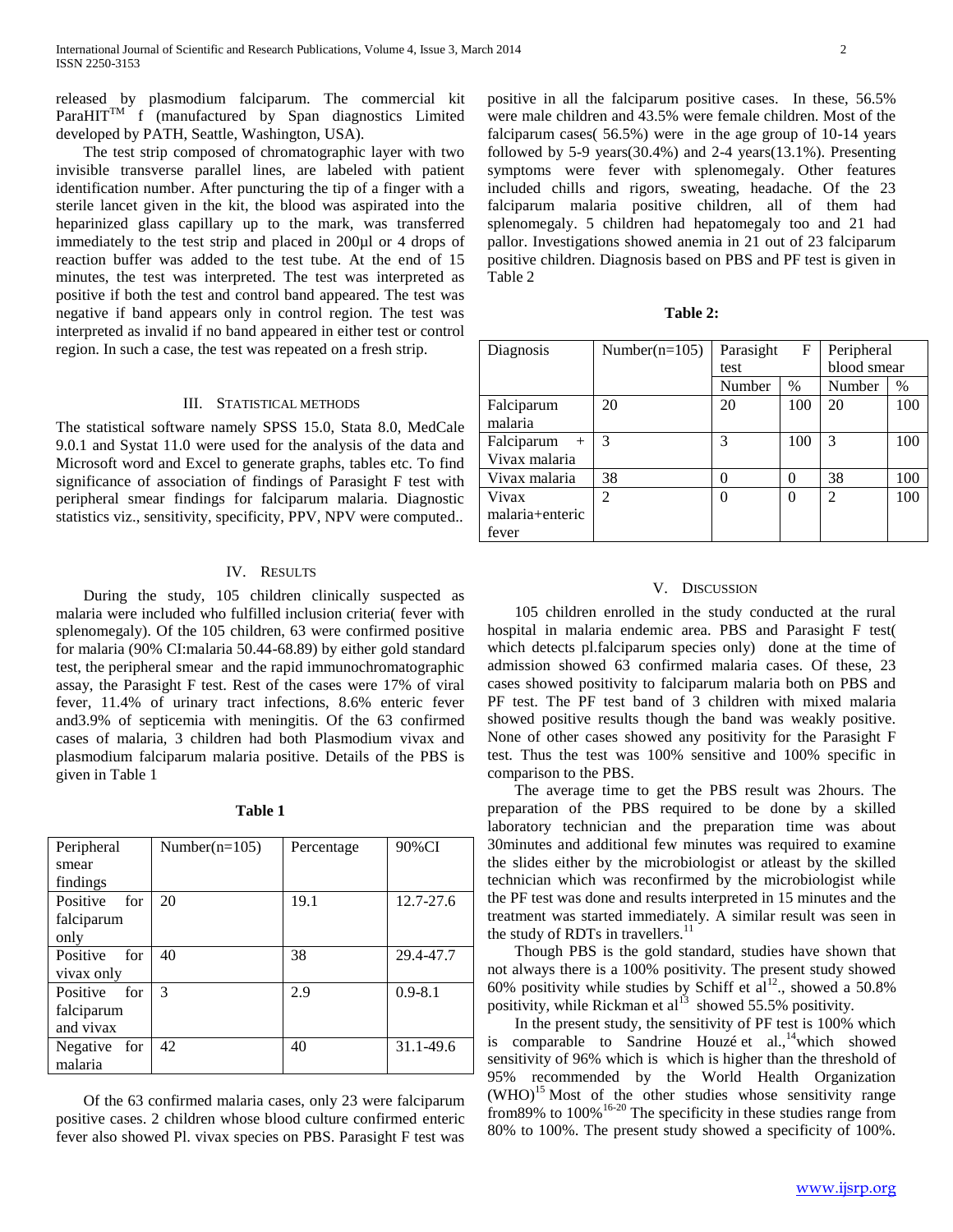released by plasmodium falciparum. The commercial kit Para $HIT^{TM}$  f (manufactured by Span diagnostics Limited developed by PATH, Seattle, Washington, USA).

 The test strip composed of chromatographic layer with two invisible transverse parallel lines, are labeled with patient identification number. After puncturing the tip of a finger with a sterile lancet given in the kit, the blood was aspirated into the heparinized glass capillary up to the mark, was transferred immediately to the test strip and placed in 200µl or 4 drops of reaction buffer was added to the test tube. At the end of 15 minutes, the test was interpreted. The test was interpreted as positive if both the test and control band appeared. The test was negative if band appears only in control region. The test was interpreted as invalid if no band appeared in either test or control region. In such a case, the test was repeated on a fresh strip.

# III. STATISTICAL METHODS

The statistical software namely SPSS 15.0, Stata 8.0, MedCale 9.0.1 and Systat 11.0 were used for the analysis of the data and Microsoft word and Excel to generate graphs, tables etc. To find significance of association of findings of Parasight F test with peripheral smear findings for falciparum malaria. Diagnostic statistics viz., sensitivity, specificity, PPV, NPV were computed..

## IV. RESULTS

 During the study, 105 children clinically suspected as malaria were included who fulfilled inclusion criteria( fever with splenomegaly). Of the 105 children, 63 were confirmed positive for malaria (90% CI:malaria 50.44-68.89) by either gold standard test, the peripheral smear and the rapid immunochromatographic assay, the Parasight F test. Rest of the cases were 17% of viral fever, 11.4% of urinary tract infections, 8.6% enteric fever and3.9% of septicemia with meningitis. Of the 63 confirmed cases of malaria, 3 children had both Plasmodium vivax and plasmodium falciparum malaria positive. Details of the PBS is given in Table 1

|  | н<br>ш<br> |  |
|--|------------|--|
|--|------------|--|

| Peripheral      | Number( $n=105$ ) | Percentage | 90%CI       |
|-----------------|-------------------|------------|-------------|
| smear           |                   |            |             |
| findings        |                   |            |             |
| Positive<br>for | 20                | 19.1       | 12.7-27.6   |
| falciparum      |                   |            |             |
| only            |                   |            |             |
| Positive<br>for | 40                | 38         | 29.4-47.7   |
| vivax only      |                   |            |             |
| Positive<br>for | 3                 | 2.9        | $0.9 - 8.1$ |
| falciparum      |                   |            |             |
| and vivax       |                   |            |             |
| Negative for    | 42                | 40         | 31.1-49.6   |
| malaria         |                   |            |             |

 Of the 63 confirmed malaria cases, only 23 were falciparum positive cases. 2 children whose blood culture confirmed enteric fever also showed Pl. vivax species on PBS. Parasight F test was positive in all the falciparum positive cases. In these, 56.5% were male children and 43.5% were female children. Most of the falciparum cases( 56.5%) were in the age group of 10-14 years followed by 5-9 years(30.4%) and 2-4 years(13.1%). Presenting symptoms were fever with splenomegaly. Other features included chills and rigors, sweating, headache. Of the 23 falciparum malaria positive children, all of them had splenomegaly. 5 children had hepatomegaly too and 21 had pallor. Investigations showed anemia in 21 out of 23 falciparum positive children. Diagnosis based on PBS and PF test is given in Table 2

| Diagnosis         | Number( $n=105$ ) | Parasight<br>F   |          | Peripheral                  |      |
|-------------------|-------------------|------------------|----------|-----------------------------|------|
|                   |                   | test             |          | blood smear                 |      |
|                   |                   | Number           | $\%$     | Number                      | $\%$ |
| Falciparum        | 20                | 20               | 100      | 20                          | 100  |
| malaria           |                   |                  |          |                             |      |
| Falciparum<br>$+$ | 3                 | 3                | 100      | 3                           | 100  |
| Vivax malaria     |                   |                  |          |                             |      |
| Vivax malaria     | 38                | $\left( \right)$ | $\theta$ | 38                          | 100  |
| Vivax             | $\mathfrak{D}$    | $\theta$         | 0        | $\mathcal{D}_{\mathcal{L}}$ | 100  |
| malaria+enteric   |                   |                  |          |                             |      |
| fever             |                   |                  |          |                             |      |

## V. DISCUSSION

 105 children enrolled in the study conducted at the rural hospital in malaria endemic area. PBS and Parasight F test( which detects pl.falciparum species only) done at the time of admission showed 63 confirmed malaria cases. Of these, 23 cases showed positivity to falciparum malaria both on PBS and PF test. The PF test band of 3 children with mixed malaria showed positive results though the band was weakly positive. None of other cases showed any positivity for the Parasight F test. Thus the test was 100% sensitive and 100% specific in comparison to the PBS.

 The average time to get the PBS result was 2hours. The preparation of the PBS required to be done by a skilled laboratory technician and the preparation time was about 30minutes and additional few minutes was required to examine the slides either by the microbiologist or atleast by the skilled technician which was reconfirmed by the microbiologist while the PF test was done and results interpreted in 15 minutes and the treatment was started immediately. A similar result was seen in the study of RDTs in travellers. $^{11}$ 

 Though PBS is the gold standard, studies have shown that not always there is a 100% positivity. The present study showed 60% positivity while studies by Schiff et  $al^{12}$ , showed a 50.8% positivity, while Rickman et al<sup>13</sup> showed 55.5% positivity.

 In the present study, the sensitivity of PF test is 100% which is comparable to Sandrine Houzé et al.,<sup>14</sup>which showed sensitivity of 96% which is which is higher than the threshold of 95% recommended by the World Health Organization  $(WHO)^{15}$  Most of the other studies whose sensitivity range from89% to  $100\%$ <sup>16-20</sup> The specificity in these studies range from 80% to 100%. The present study showed a specificity of 100%.